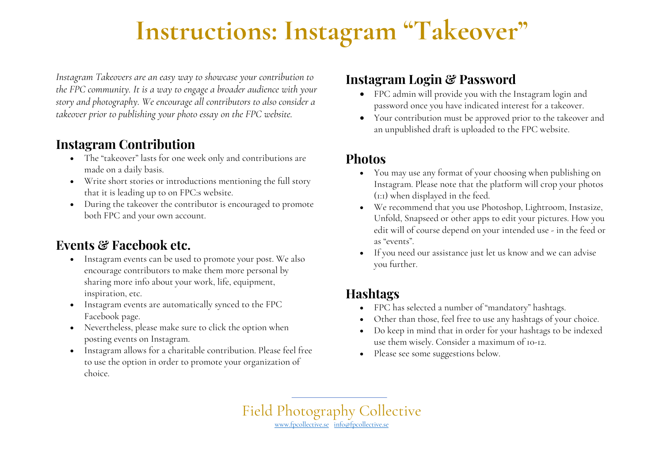# **Instructions: Instagram "Takeover"**

*Instagram Takeovers are an easy way to showcase your contribution to the FPC community. It is a way to engage a broader audience with your story and photography. We encourage all contributors to also consider a takeover prior to publishing your photo essay on the FPC website.* 

### **Instagram Contribution**

- The "takeover" lasts for one week only and contributions are made on a daily basis.
- Write short stories or introductions mentioning the full story that it is leading up to on FPC:s website.
- During the takeover the contributor is encouraged to promote both FPC and your own account.

## **Events & Facebook etc.**

- Instagram events can be used to promote your post. We also encourage contributors to make them more personal by sharing more info about your work, life, equipment, inspiration, etc.
- Instagram events are automatically synced to the FPC Facebook page.
- Nevertheless, please make sure to click the option when posting events on Instagram.
- Instagram allows for a charitable contribution. Please feel free to use the option in order to promote your organization of choice.

## **Instagram Login & Password**

- FPC admin will provide you with the Instagram login and password once you have indicated interest for a takeover.
- Your contribution must be approved prior to the takeover and an unpublished draft is uploaded to the FPC website.

#### **Photos**

- You may use any format of your choosing when publishing on Instagram. Please note that the platform will crop your photos (1:1) when displayed in the feed.
- We recommend that you use Photoshop, Lightroom, Instasize, Unfold, Snapseed or other apps to edit your pictures. How you edit will of course depend on your intended use - in the feed or as "events".
- If you need our assistance just let us know and we can advise you further.

## **Hashtags**

- FPC has selected a number of "mandatory" hashtags.
- Other than those, feel free to use any hashtags of your choice.
- Do keep in mind that in order for your hashtags to be indexed use them wisely. Consider a maximum of 10-12.
- Please see some suggestions below.

Field Photography Collective www.fpcollective.se info@fpcollective.se